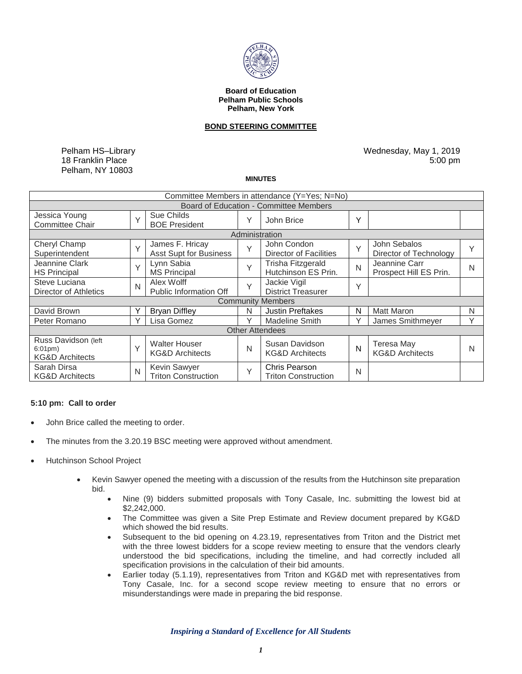

#### **Board of Education Pelham Public Schools Pelham, New York**

## **BOND STEERING COMMITTEE**

Pelham HS–Library 18 Franklin Place Pelham, NY 10803

Wednesday, May 1, 2019 5:00 pm

#### **MINUTES**

| Committee Members in attendance (Y=Yes; N=No)                           |              |                                                    |              |                                                    |        |                                                 |   |
|-------------------------------------------------------------------------|--------------|----------------------------------------------------|--------------|----------------------------------------------------|--------|-------------------------------------------------|---|
| <b>Board of Education - Committee Members</b>                           |              |                                                    |              |                                                    |        |                                                 |   |
| Jessica Young<br><b>Committee Chair</b>                                 | $\vee$       | Sue Childs<br><b>BOE President</b>                 | Υ            | John Brice                                         | Y      |                                                 |   |
| Administration                                                          |              |                                                    |              |                                                    |        |                                                 |   |
| Cheryl Champ<br>Superintendent                                          | $\vee$       | James F. Hricay<br>Asst Supt for Business          | $\checkmark$ | John Condon<br><b>Director of Facilities</b>       | $\vee$ | John Sebalos<br>Director of Technology          | Y |
| Jeannine Clark<br><b>HS Principal</b>                                   | $\vee$       | Lynn Sabia<br><b>MS Principal</b>                  | Y            | Trisha Fitzgerald<br>Hutchinson ES Prin.           | N      | Jeannine Carr<br>Prospect Hill ES Prin.         | N |
| Steve Luciana<br>Director of Athletics                                  | N            | Alex Wolff<br><b>Public Information Off</b>        | Y            | Jackie Vigil<br><b>District Treasurer</b>          | Y      |                                                 |   |
| <b>Community Members</b>                                                |              |                                                    |              |                                                    |        |                                                 |   |
| David Brown                                                             |              | <b>Bryan Diffley</b>                               | N            | <b>Justin Preftakes</b>                            | N      | Matt Maron                                      | N |
| Peter Romano                                                            | v            | Lisa Gomez                                         | Υ            | <b>Madeline Smith</b>                              | Υ      | James Smithmeyer                                | Y |
| <b>Other Attendees</b>                                                  |              |                                                    |              |                                                    |        |                                                 |   |
| Russ Davidson (left<br>$6:01 \text{pm}$ )<br><b>KG&amp;D Architects</b> | $\checkmark$ | <b>Walter Houser</b><br><b>KG&amp;D Architects</b> | N            | Susan Davidson<br><b>KG&amp;D Architects</b>       | N      | <b>Teresa May</b><br><b>KG&amp;D Architects</b> | N |
| Sarah Dirsa<br><b>KG&amp;D Architects</b>                               | N            | Kevin Sawyer<br><b>Triton Construction</b>         | $\checkmark$ | <b>Chris Pearson</b><br><b>Triton Construction</b> | N      |                                                 |   |

### **5:10 pm: Call to order**

- John Brice called the meeting to order.
- The minutes from the 3.20.19 BSC meeting were approved without amendment.
- Hutchinson School Project
	- Kevin Sawyer opened the meeting with a discussion of the results from the Hutchinson site preparation bid.
		- Nine (9) bidders submitted proposals with Tony Casale, Inc. submitting the lowest bid at \$2,242,000.
		- The Committee was given a Site Prep Estimate and Review document prepared by KG&D which showed the bid results.
		- Subsequent to the bid opening on 4.23.19, representatives from Triton and the District met with the three lowest bidders for a scope review meeting to ensure that the vendors clearly understood the bid specifications, including the timeline, and had correctly included all specification provisions in the calculation of their bid amounts.
		- Earlier today (5.1.19), representatives from Triton and KG&D met with representatives from Tony Casale, Inc. for a second scope review meeting to ensure that no errors or misunderstandings were made in preparing the bid response.

*Inspiring a Standard of Excellence for All Students*